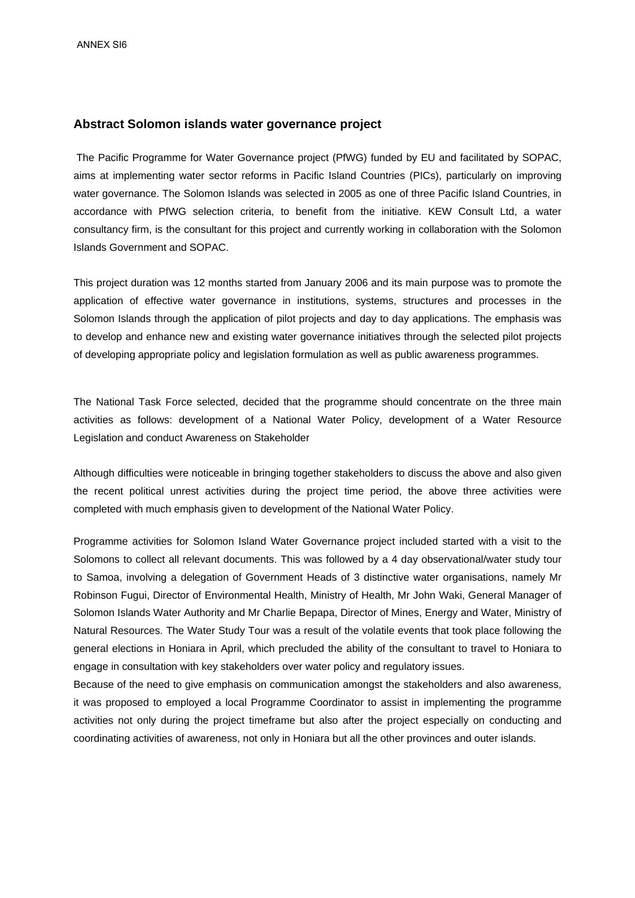## **Abstract Solomon islands water governance project**

 The Pacific Programme for Water Governance project (PfWG) funded by EU and facilitated by SOPAC, aims at implementing water sector reforms in Pacific Island Countries (PICs), particularly on improving water governance. The Solomon Islands was selected in 2005 as one of three Pacific Island Countries, in accordance with PfWG selection criteria, to benefit from the initiative. KEW Consult Ltd, a water consultancy firm, is the consultant for this project and currently working in collaboration with the Solomon Islands Government and SOPAC.

This project duration was 12 months started from January 2006 and its main purpose was to promote the application of effective water governance in institutions, systems, structures and processes in the Solomon Islands through the application of pilot projects and day to day applications. The emphasis was to develop and enhance new and existing water governance initiatives through the selected pilot projects of developing appropriate policy and legislation formulation as well as public awareness programmes.

The National Task Force selected, decided that the programme should concentrate on the three main activities as follows: development of a National Water Policy, development of a Water Resource Legislation and conduct Awareness on Stakeholder

Although difficulties were noticeable in bringing together stakeholders to discuss the above and also given the recent political unrest activities during the project time period, the above three activities were completed with much emphasis given to development of the National Water Policy.

Programme activities for Solomon Island Water Governance project included started with a visit to the Solomons to collect all relevant documents. This was followed by a 4 day observational/water study tour to Samoa, involving a delegation of Government Heads of 3 distinctive water organisations, namely Mr Robinson Fugui, Director of Environmental Health, Ministry of Health, Mr John Waki, General Manager of Solomon Islands Water Authority and Mr Charlie Bepapa, Director of Mines, Energy and Water, Ministry of Natural Resources. The Water Study Tour was a result of the volatile events that took place following the general elections in Honiara in April, which precluded the ability of the consultant to travel to Honiara to engage in consultation with key stakeholders over water policy and regulatory issues.

Because of the need to give emphasis on communication amongst the stakeholders and also awareness, it was proposed to employed a local Programme Coordinator to assist in implementing the programme activities not only during the project timeframe but also after the project especially on conducting and coordinating activities of awareness, not only in Honiara but all the other provinces and outer islands.